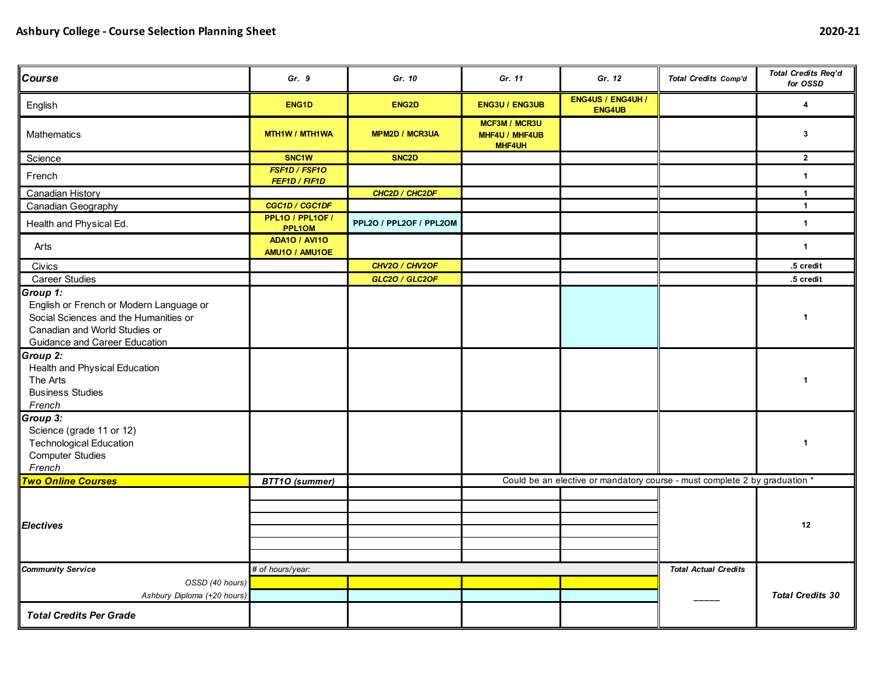| Course                                                                                                                                                                | Gr. 9                                  | Gr. 10                  | Gr. 11                                                  |                                                                            | Total Credits Comp'd | <b>Total Credits Req'd</b><br>for OSSD |
|-----------------------------------------------------------------------------------------------------------------------------------------------------------------------|----------------------------------------|-------------------------|---------------------------------------------------------|----------------------------------------------------------------------------|----------------------|----------------------------------------|
| English                                                                                                                                                               | ENG1D                                  | ENG <sub>2</sub> D      | <b>ENG3U / ENG3UB</b>                                   | <b>ENG4US / ENG4UH /</b><br><b>ENG4UB</b>                                  |                      | 4                                      |
| Mathematics                                                                                                                                                           | MTH1W / MTH1WA                         | <b>MPM2D / MCR3UA</b>   | <b>MCF3M / MCR3U</b><br>MHF4U / MHF4UB<br><b>MHF4UH</b> |                                                                            |                      | 3                                      |
| Science                                                                                                                                                               | SNC <sub>1</sub> W                     | SNC <sub>2</sub> D      |                                                         |                                                                            |                      | $\mathbf{2}$                           |
| French                                                                                                                                                                | FSF1D / FSF10<br>FEF1D / FIF1D         |                         |                                                         |                                                                            |                      | $\mathbf{1}$                           |
| <b>Canadian History</b>                                                                                                                                               |                                        | CHC2D / CHC2DF          |                                                         |                                                                            |                      | $\mathbf{1}$                           |
| <b>Canadian Geography</b>                                                                                                                                             | CGC1D / CGC1DF                         |                         |                                                         |                                                                            |                      | $\mathbf{1}$                           |
| Health and Physical Ed.                                                                                                                                               | PPL10 / PPL10F /<br>PPL1OM             | PPL2O / PPL2OF / PPL2OM |                                                         |                                                                            |                      | $\mathbf{1}$                           |
| Arts                                                                                                                                                                  | <b>ADA10 / AVI10</b><br>AMU10 / AMU10E |                         |                                                         |                                                                            |                      | $\mathbf{1}$                           |
| Civics                                                                                                                                                                |                                        | CHV2O / CHV2OF          |                                                         |                                                                            |                      | .5 credit                              |
| <b>Career Studies</b>                                                                                                                                                 |                                        | GLC2O / GLC2OF          |                                                         |                                                                            |                      | .5 credit                              |
| Group 1:<br>English or French or Modern Language or<br>Social Sciences and the Humanities or<br>Canadian and World Studies or<br><b>Guidance and Career Education</b> |                                        |                         |                                                         |                                                                            |                      | $\mathbf{1}$                           |
| Group 2:<br>Health and Physical Education<br>The Arts<br><b>Business Studies</b><br>French                                                                            |                                        |                         |                                                         |                                                                            |                      | $\mathbf{1}$                           |
| Group 3:<br>Science (grade 11 or 12)<br><b>Technological Education</b><br><b>Computer Studies</b><br>French                                                           |                                        |                         |                                                         |                                                                            |                      | $\mathbf{1}$                           |
| <b>Two Online Courses</b>                                                                                                                                             | <b>BTT10 (summer)</b>                  |                         |                                                         | Could be an elective or mandatory course - must complete 2 by graduation * |                      |                                        |
| <b>Electives</b>                                                                                                                                                      |                                        |                         |                                                         |                                                                            |                      | 12                                     |
| <b>Community Service</b>                                                                                                                                              | # of hours/year:                       |                         |                                                         | <b>Total Actual Credits</b>                                                |                      |                                        |
| OSSD (40 hours)                                                                                                                                                       |                                        |                         |                                                         |                                                                            |                      |                                        |
| Ashbury Diploma (+20 hours)                                                                                                                                           |                                        |                         |                                                         |                                                                            |                      | <b>Total Credits 30</b>                |
| <b>Total Credits Per Grade</b>                                                                                                                                        |                                        |                         |                                                         |                                                                            |                      |                                        |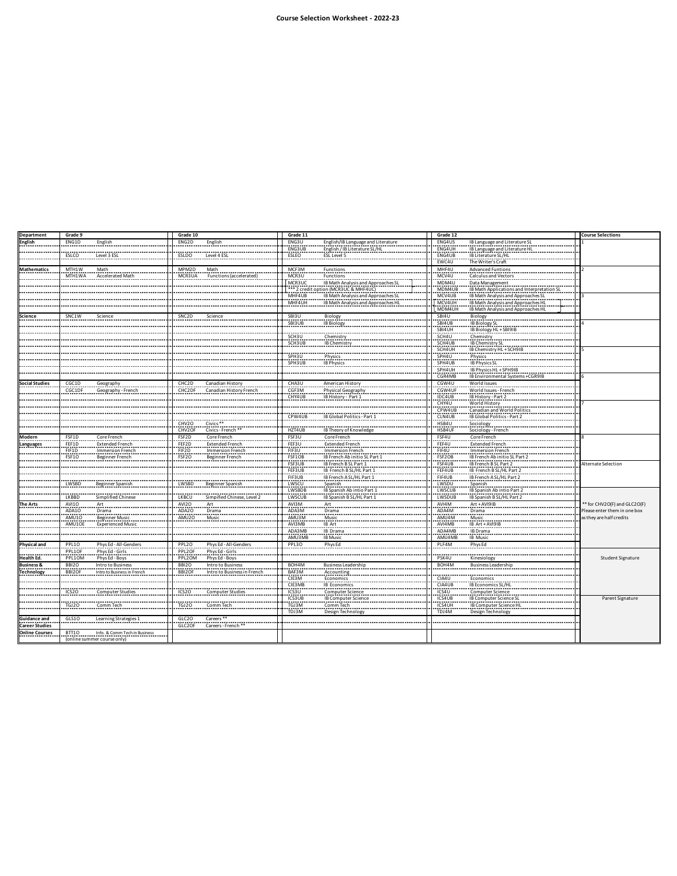| <b>Department</b>     | Grade 9           |                                          | Grade 10           |                               | Grade 11                  |                                                      | Grade 12                  |                                                                                                             | <b>Course Selections</b>                                 |
|-----------------------|-------------------|------------------------------------------|--------------------|-------------------------------|---------------------------|------------------------------------------------------|---------------------------|-------------------------------------------------------------------------------------------------------------|----------------------------------------------------------|
| English               | ENG1D             | English                                  | ENG2D              | English                       | ENG3U                     | English/IB Language and Literature                   | ENG4US                    | IB Language and Literature SL                                                                               |                                                          |
|                       |                   |                                          |                    |                               | ENG3UB                    | English / IB Literature SL/HL                        | ENG4UH                    | IB Language and Literature HL                                                                               |                                                          |
|                       | ESLCO             | Level 3 ESL                              | ESLDO              | Level 4 ESL                   | ESLEO                     | ESL Level 5                                          | ENG4UB                    | IB Literature SL/HL                                                                                         |                                                          |
|                       |                   |                                          |                    |                               |                           |                                                      | EWC4U                     | The Writer's Craft                                                                                          |                                                          |
| <b>Mathematics</b>    | MTH1W             | Math<br>.                                | MPM2D              | Math                          | MCF3M                     | Functions                                            | MHF4U                     | <b>Advanced Funtions</b>                                                                                    |                                                          |
|                       | MTH1WA            | <b>Accelerated Math</b>                  | MCR3UA             | Functions (accelerated)       |                           |                                                      | MCV4U                     | Calculus and Vectors                                                                                        |                                                          |
|                       |                   |                                          |                    |                               |                           |                                                      | MDM4U                     |                                                                                                             |                                                          |
|                       |                   |                                          |                    |                               |                           |                                                      | MDM4UB<br>MCV4UB          | Data Management<br>I. B. Math Applications and Interpretation SL.<br>I. B. Math Analysis and Approaches SL. |                                                          |
|                       |                   |                                          |                    |                               |                           |                                                      |                           |                                                                                                             |                                                          |
|                       |                   |                                          |                    |                               |                           |                                                      | MCV4UH                    | IB Math Analysis and Approaches HL                                                                          |                                                          |
|                       |                   |                                          |                    |                               |                           |                                                      | MDM4UH                    | IB Math Analysis and Approaches HL                                                                          |                                                          |
| Science               | SNC1W             | Science                                  | SNC <sub>2</sub> D | Science                       | SBI3U<br>------           | Biology                                              | SBI4U                     | Biology                                                                                                     |                                                          |
|                       |                   |                                          |                    |                               | SBI3UB                    | IB Biology                                           | SBI4UB                    | IB Biology SL                                                                                               |                                                          |
|                       |                   |                                          |                    |                               |                           | --------                                             |                           | IB Biology HL + SBI9IB                                                                                      |                                                          |
|                       |                   |                                          |                    |                               | SCH3U<br>SCH3UB           | Chemistry                                            | SBI4UH<br>SCH4U<br>SCH4UB | Chemistry                                                                                                   |                                                          |
|                       |                   |                                          |                    |                               |                           | <b>IB Chemistry</b>                                  | SCH4UH                    | IB Chemistry SL                                                                                             |                                                          |
|                       |                   |                                          |                    |                               | SPH3U                     | -------<br>Physics                                   | SPH4U                     | IB Chemistry HL + SCH9IB<br>Physics                                                                         |                                                          |
|                       |                   |                                          |                    |                               | .                         |                                                      |                           |                                                                                                             |                                                          |
|                       |                   |                                          |                    |                               | SPH3UB IB Physics         |                                                      | SPH4UB                    | IB Physics SL                                                                                               |                                                          |
|                       |                   |                                          |                    |                               | .                         |                                                      | SPH4UH<br>CGR4MB          | IB Physics HL + SPH9IB<br>IB Environmental Systems +CGR9IB                                                  |                                                          |
| <b>Social Studies</b> | CGC1D             |                                          | CHC2D              | Canadian History              |                           |                                                      | CGW4U                     | World Issues                                                                                                |                                                          |
|                       | CGC1DF            | Geography<br>Geography - French          | CHC2DF             | Canadian History French       | CHA3U<br>CGF3M            | American History<br>Physical Geography               | CGW4UF                    |                                                                                                             |                                                          |
|                       |                   |                                          |                    |                               | CHY4UB                    | IB History - Part 1                                  | IDC4UB                    | World Issues - French<br>IB History - Part 2                                                                |                                                          |
|                       |                   |                                          |                    |                               |                           |                                                      | CHY4U                     | World History                                                                                               |                                                          |
|                       |                   |                                          |                    |                               |                           |                                                      | CPW4UB                    | Canadian and World Politic                                                                                  |                                                          |
|                       |                   |                                          |                    |                               | CPW4UB                    | IB Global Politics - Part 1                          | CLN4UB                    | IB Global Politics - Part 2                                                                                 |                                                          |
|                       |                   |                                          | CHV2O              | Civics <sup>**</sup>          |                           |                                                      | HSB4U                     |                                                                                                             |                                                          |
|                       |                   |                                          | CHV2OF             | Civics-French                 | HZT4UB                    | IB Theory of Knowledge                               | HSB4UF                    | Sociology - French                                                                                          |                                                          |
| Modern                | FSF1D             | Core French                              | FSF2D<br>FEF2D     | Core French                   | FSF3U                     | Core French                                          | FSF4U                     | Core French                                                                                                 |                                                          |
| anguages.             | FFF1D             | Extended French<br>Immersion French      |                    | <b>Extended French</b>        | FEF3U                     | Extended French<br>Immersion French                  | FEF4U                     | Extended French                                                                                             |                                                          |
|                       | FIF1D<br>.        |                                          | FIF2D<br>.         | Immersion French<br>.         | FIF3U<br>                 |                                                      |                           |                                                                                                             |                                                          |
|                       | ESE10             | Beginner French                          | FSF2O              | Beginner French               | FSF1OB                    | IB French Ab initio SL Part 1                        | FSF2OB                    | IB French Ab initio SL Part                                                                                 |                                                          |
|                       |                   |                                          |                    |                               | FSF3UB                    | IB French B SL Part 1                                | FSF4UB                    | IB French B SL Part 2                                                                                       | Alternate Selection                                      |
|                       |                   |                                          |                    |                               |                           | IB French B SL/HL Part 1<br>IB French A SL/HL Part 1 | FEF4UB                    | IB French B SL/HL Part 2                                                                                    |                                                          |
|                       |                   |                                          |                    |                               | FEF3UB<br>FIF3UB<br>LWSCU |                                                      | FIF4UB<br>LWSDU           | 18 French A SL/HL Part 2                                                                                    |                                                          |
|                       | LWSBD             | Beginner Spanish                         | LWSBD              | <b>Beginner Spanish</b>       |                           | Spanish                                              |                           | Spanish                                                                                                     |                                                          |
|                       |                   |                                          |                    |                               | LWSBDB                    | IB Spanish Ab intio Part 1                           | LWSCUB                    | IB Spanish Ab intio Part 2                                                                                  |                                                          |
|                       | LKBBD             | Simplified Chinese                       | LKBCU              | Simpified Chinese, Level 2    | LWSCUB                    | IB Spanish B SL/HL Part 1                            | <b>LWSDUB</b>             | IB Spanish B SL/HL Part 2                                                                                   |                                                          |
| <b>The Arts</b>       | <b>AVI10</b>      | Art                                      | AVI20              | Art                           | AVI3M                     | Art                                                  | AVI4M                     | Art+AVI9IB                                                                                                  | ** for CHV2O(F) and GLC2O(F)                             |
|                       | ADA10             | Drama                                    | ADA20<br>AMU20     | Drama                         | ADA3M                     | Drama                                                | ADA4M<br>AMU4M            | Drama                                                                                                       | Please enter them in one box<br>as they are half credits |
|                       | AMU10             | <b>Beginner Music</b>                    |                    | Music                         |                           | Music                                                |                           | Music                                                                                                       |                                                          |
|                       | AMU10E            | <b>Experienced Music</b>                 |                    |                               | AMU3M<br>AVI3MB<br>ADA3MB | IB Art<br>IB Drama                                   | AVI4MB<br>ADA4MB          | IB Art + AVI9IB<br>IB Drama                                                                                 |                                                          |
|                       |                   |                                          |                    |                               | AMU3MB                    | <b>IB Music</b>                                      | AMU4MB                    | IB Music                                                                                                    |                                                          |
| Physical and          | PPL10             |                                          | PPL2O              | Phys Ed - All-Genders         | PPL30                     | Phys Ed                                              | PLF4M                     | Phys Ed                                                                                                     |                                                          |
|                       | PPL1OF            | Phys Ed - All-Genders<br>Phys Ed - Girls | PPL2OF             | Phys Ed - Girls               |                           |                                                      |                           |                                                                                                             |                                                          |
| Health Ed.            | PPL1OM            | Phys Ed - Boys                           | PPL2OM             | Phys Ed - Boys                |                           |                                                      | PSK4U                     | Kinesiology                                                                                                 | <b>Student Signature</b>                                 |
| <b>Business &amp;</b> | <b>BBI20</b>      | Intro to Business                        | <b>BBI20</b>       | Intro to Business             | BOH4M                     | <b>Business Leadership</b>                           | BOH4M                     | <b>Business Leadership</b>                                                                                  |                                                          |
| <b>Technology</b>     | BBI2OF            | Intro to Business in French              | BBI2OF             | Intro to Business in French   | BAF3M                     | Accounting                                           |                           |                                                                                                             |                                                          |
|                       |                   |                                          |                    |                               | CIE3M                     | Economics                                            | CIA4U                     | Economics                                                                                                   |                                                          |
|                       |                   |                                          |                    |                               |                           | <b>IB Economics</b>                                  | CIA4UB                    | IB Economics SL/H                                                                                           |                                                          |
|                       | ICS <sub>20</sub> | Computer Studies                         | ICS <sub>20</sub>  | Computer Studies              | CIE3MB<br>ICS3U           | Computer Science                                     | ICS4U<br>ICS4U            | Computer Science                                                                                            |                                                          |
|                       |                   |                                          |                    |                               | ICS3UB                    | IB Computer Science                                  |                           | IB Computer Science SL                                                                                      | Parent Signature                                         |
|                       | TGJ2O             | Comm Tech                                | TGJ2O              | Comm Tech                     | TGJ3M                     | Comm Tech                                            | ICS4UH                    | IB Computer Science HL                                                                                      |                                                          |
|                       |                   |                                          |                    |                               | TDJ3M                     | Design Technology                                    | TDJ4M                     | Design Technology                                                                                           |                                                          |
| Guidance and          | GLS10             | Learning Strategies 1                    | GLC2O              | Careers <sup>**</sup>         |                           |                                                      |                           |                                                                                                             |                                                          |
| <b>Career Studies</b> |                   |                                          | GLC2OF             | Careers - French <sup>*</sup> |                           |                                                      |                           |                                                                                                             |                                                          |
| <b>Online Courses</b> |                   | BTT10  Info. & Comm Tech in Business     |                    |                               |                           |                                                      |                           |                                                                                                             |                                                          |
|                       |                   | (online summer course only)              |                    |                               |                           |                                                      |                           |                                                                                                             |                                                          |